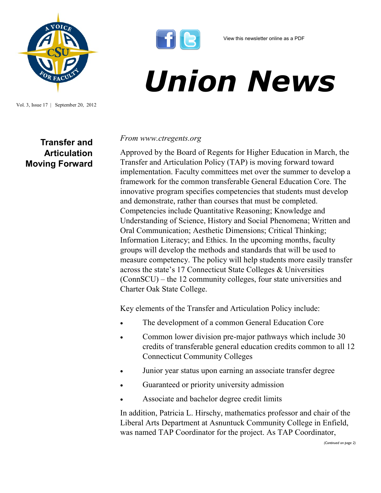

Vol. 3, Issue 17 | September 20, 2012

## **Transfer and Articulation Moving Forward**



## *Union News*

## *From www.ctregents.org*

Approved by the Board of Regents for Higher Education in March, the Transfer and Articulation Policy (TAP) is moving forward toward implementation. Faculty committees met over the summer to develop a framework for the common transferable General Education Core. The innovative program specifies competencies that students must develop and demonstrate, rather than courses that must be completed. Competencies include Quantitative Reasoning; Knowledge and Understanding of Science, History and Social Phenomena; Written and Oral Communication; Aesthetic Dimensions; Critical Thinking; Information Literacy; and Ethics. In the upcoming months, faculty groups will develop the methods and standards that will be used to measure competency. The policy will help students more easily transfer across the state's 17 Connecticut State Colleges & Universities (ConnSCU) – the 12 community colleges, four state universities and Charter Oak State College.

Key elements of the Transfer and Articulation Policy include:

- The development of a common General Education Core
- Common lower division pre-major pathways which include 30 credits of transferable general education credits common to all 12 Connecticut Community Colleges
- Junior year status upon earning an associate transfer degree
- Guaranteed or priority university admission
- Associate and bachelor degree credit limits

In addition, Patricia L. Hirschy, mathematics professor and chair of the Liberal Arts Department at Asnuntuck Community College in Enfield, was named TAP Coordinator for the project. As TAP Coordinator,